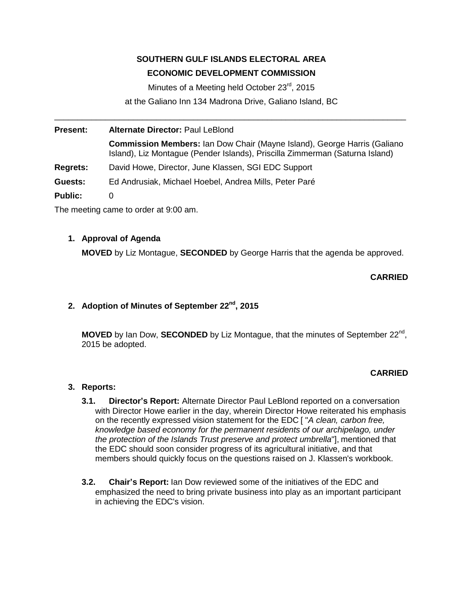# **SOUTHERN GULF ISLANDS ELECTORAL AREA**

# **ECONOMIC DEVELOPMENT COMMISSION**

Minutes of a Meeting held October 23<sup>rd</sup>, 2015

at the Galiano Inn 134 Madrona Drive, Galiano Island, BC \_\_\_\_\_\_\_\_\_\_\_\_\_\_\_\_\_\_\_\_\_\_\_\_\_\_\_\_\_\_\_\_\_\_\_\_\_\_\_\_\_\_\_\_\_\_\_\_\_\_\_\_\_\_\_\_\_\_\_\_\_\_\_\_\_\_\_\_\_\_\_\_\_\_\_\_

**Present: Alternate Director:** Paul LeBlond **Commission Members:** Ian Dow Chair (Mayne Island), George Harris (Galiano Island), Liz Montague (Pender Islands), Priscilla Zimmerman (Saturna Island) **Regrets:** David Howe, Director, June Klassen, SGI EDC Support **Guests:** Ed Andrusiak, Michael Hoebel, Andrea Mills, Peter Paré **Public:** 0

The meeting came to order at 9:00 am.

# **1. Approval of Agenda**

**MOVED** by Liz Montague, **SECONDED** by George Harris that the agenda be approved.

# **CARRIED**

# **2. Adoption of Minutes of September 22nd , 2015**

**MOVED** by Ian Dow, **SECONDED** by Liz Montague, that the minutes of September 22<sup>nd</sup>, 2015 be adopted.

# **CARRIED**

#### **3. Reports:**

- **3.1. Director's Report:** Alternate Director Paul LeBlond reported on a conversation with Director Howe earlier in the day, wherein Director Howe reiterated his emphasis on the recently expressed vision statement for the EDC [ "*A clean, carbon free, knowledge based economy for the permanent residents of our archipelago, under the protection of the Islands Trust preserve and protect umbrella*"], mentioned that the EDC should soon consider progress of its agricultural initiative, and that members should quickly focus on the questions raised on J. Klassen's workbook.
- **3.2. Chair's Report:** Ian Dow reviewed some of the initiatives of the EDC and emphasized the need to bring private business into play as an important participant in achieving the EDC's vision.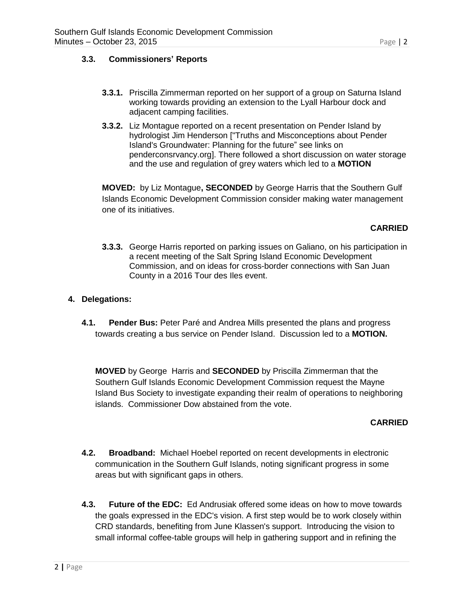#### **3.3. Commissioners' Reports**

- **3.3.1.** Priscilla Zimmerman reported on her support of a group on Saturna Island working towards providing an extension to the Lyall Harbour dock and adjacent camping facilities.
- **3.3.2.** Liz Montague reported on a recent presentation on Pender Island by hydrologist Jim Henderson ["Truths and Misconceptions about Pender Island's Groundwater: Planning for the future" see links on penderconsrvancy.org]. There followed a short discussion on water storage and the use and regulation of grey waters which led to a **MOTION**

**MOVED:** by Liz Montague**, SECONDED** by George Harris that the Southern Gulf Islands Economic Development Commission consider making water management one of its initiatives.

#### **CARRIED**

**3.3.3.** George Harris reported on parking issues on Galiano, on his participation in a recent meeting of the Salt Spring Island Economic Development Commission, and on ideas for cross-border connections with San Juan County in a 2016 Tour des Iles event.

#### **4. Delegations:**

**4.1. Pender Bus:** Peter Paré and Andrea Mills presented the plans and progress towards creating a bus service on Pender Island. Discussion led to a **MOTION.**

**MOVED** by GeorgeHarris and **SECONDED** by Priscilla Zimmerman that the Southern Gulf Islands Economic Development Commission request the Mayne Island Bus Society to investigate expanding their realm of operations to neighboring islands. Commissioner Dow abstained from the vote.

#### **CARRIED**

- **4.2. Broadband:** Michael Hoebel reported on recent developments in electronic communication in the Southern Gulf Islands, noting significant progress in some areas but with significant gaps in others.
- **4.3. Future of the EDC:** Ed Andrusiak offered some ideas on how to move towards the goals expressed in the EDC's vision. A first step would be to work closely within CRD standards, benefiting from June Klassen's support. Introducing the vision to small informal coffee-table groups will help in gathering support and in refining the